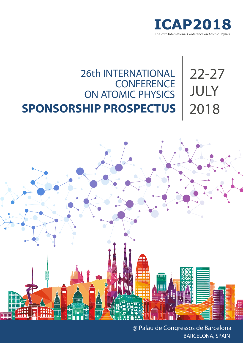

## 26th INTERNATIONAL **CONFERENCE** ON ATOMIC PHYSICS 22-27 JULY 2018 **SPONSORSHIP PROSPECTUS**



@ Palau de Congressos de Barcelona BARCELONA, SPAIN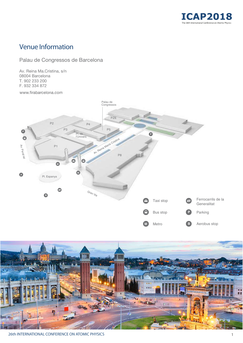

# Venue Information

### Palau de Congressos de Barcelona

Av. Reina Ma.Cristina, s/n 08004 Barcelona T. 902 233 200 F. 932 334 872

www.firabarcelona.com





26th INTERNATIONAL CONFERENCE ON ATOMIC PHYSICS 1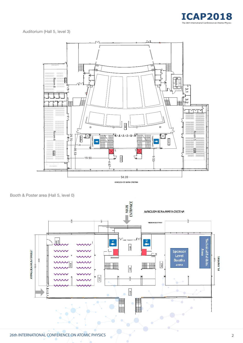

Auditorium (Hall 5, level 3)



Booth & Poster area (Hall 5, level 0)

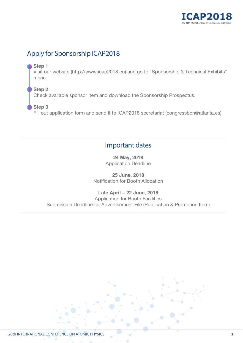

# Apply for Sponsorship ICAP2018

#### **Step 1**

Visit our website (http://www.icap2018.eu) and go to "Sponsorship & Technical Exhibits" menu.

**Step 2** Check available sponsor item and download the Sponsorship Prospectus.

### **Step 3**

Fill out application form and send it to ICAP2018 secretariat (congressbcn@atlanta.es)

## Important dates

**24 May, 2018** Application Deadline

**25 June, 2018** Notification for Booth Allocation

**Late April ~ 22 June, 2018** Application for Booth Facilities Submission Deadline for Advertisement File (Publication & Promotion Item)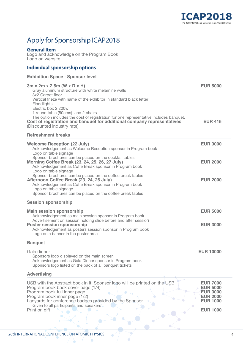

# Apply for Sponsorship ICAP2018

#### **General Item**

Logo and acknowledge on the Program Book Logo on website

### **Individual sponsorship options**

#### **Exhibition Space - Sponsor level**

| 3m x 2m x 2.5m (W x D x H)<br>Gray aluminum structure with white melamine walls<br>3x2 Carpet floor<br>Vertical frieze with name of the exhibitor in standard black letter<br>Floodlights<br>Electric box 2.200w<br>1 round table (80cms) and 2 chairs<br>The option includes the cost of registration for one representative includes banquet.<br>Cost of registration and banquet for additional company representatives<br>(Discounted industry rate) | <b>EUR 5000</b><br><b>EUR 415</b>                                                                              |
|----------------------------------------------------------------------------------------------------------------------------------------------------------------------------------------------------------------------------------------------------------------------------------------------------------------------------------------------------------------------------------------------------------------------------------------------------------|----------------------------------------------------------------------------------------------------------------|
| <b>Refreshment breaks</b>                                                                                                                                                                                                                                                                                                                                                                                                                                |                                                                                                                |
| <b>Welcome Reception (22 July)</b><br>Acknowledgement as Welcome Reception sponsor in Program book<br>Logo on table signage                                                                                                                                                                                                                                                                                                                              | <b>EUR 3000</b>                                                                                                |
| Sponsor brochures can be placed on the cocktail tables<br>Morning Coffee Break (23, 24, 25, 26, 27 July)<br>Acknowledgement as Coffe Break sponsor in Program book<br>Logo on table signage                                                                                                                                                                                                                                                              | <b>EUR 2000</b>                                                                                                |
| Sponsor brochures can be placed on the coffee break tables<br>Afternoon Coffee Break (23, 24, 26 July)<br>Acknowledgement as Coffe Break sponsor in Program book<br>Logo on table signage<br>Sponsor brochures can be placed on the coffee break tables                                                                                                                                                                                                  | <b>EUR 2000</b>                                                                                                |
| <b>Session sponsorship</b>                                                                                                                                                                                                                                                                                                                                                                                                                               |                                                                                                                |
| <b>Main session sponsorship</b><br>Acknowledgement as main session sponsor in Program book<br>Advertisement on session holding slide before and after session<br><b>Poster session sponsorship</b><br>Acknowledgement as posters session sponsor in Program book<br>Logo on a banner in the poster area                                                                                                                                                  | <b>EUR 5000</b><br><b>EUR 3000</b>                                                                             |
| <b>Banquet</b>                                                                                                                                                                                                                                                                                                                                                                                                                                           |                                                                                                                |
| Gala dinner<br>Sponsors logo displayed on the main screen<br>Acknowledgement as Gala Dinner sponsor in Program book<br>Sponsors logo listed on the back of all banquet tickets<br><b>Advertising</b>                                                                                                                                                                                                                                                     | <b>EUR 10000</b>                                                                                               |
|                                                                                                                                                                                                                                                                                                                                                                                                                                                          |                                                                                                                |
| USB with the Abstract book in it. Sponsor logo will be printed on the USB<br>Program book back cover page (1/4)<br>Program book full inner page<br>Program book inner page (1/2)<br>Lanyards for conference badges provided by the Sponsor<br>Given to all participants and speakers<br>Print on gift                                                                                                                                                    | <b>EUR 7000</b><br><b>EUR 5000</b><br><b>EUR 3000</b><br><b>EUR 2000</b><br><b>EUR 1000</b><br><b>EUR 1000</b> |

 $\bullet$ 

 $\alpha$ 

 $\bullet$ 

Ŏ.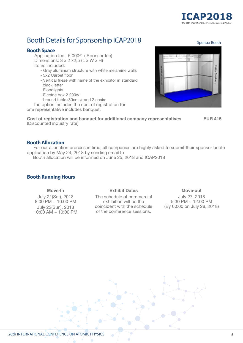

Sponsor Booth

# Booth Details for Sponsorship ICAP2018

#### **Booth Space**

Application fee: 5.000€ ( Sponsor fee) Dimensions:  $3 \times 2 \times 2.5$  (L  $\times$  W  $\times$  H) Items included:

- Gray aluminum structure with white melamine walls
- 3x2 Carpet floor
- Vertical frieze with name of the exhibitor in standard black letter
- Floodlights
- Electric box 2.200w
- -1 round table (80cms) and 2 chairs

The option includes the cost of registration for one representative includes banquet.

**Cost of registration and banquet for additional company representatives EUR 415** (Discounted industry rate)

#### **Booth Allocation**

For our allocation process in time, all companies are highly asked to submit their sponsor booth application by May 24, 2018 by sending email to

Booth allocation will be informed on June 25, 2018 and ICAP2018

#### **Booth Running Hours**

#### **Move-In**

July 21(Sat), 2018 8:00 PM ~ 10:00 PM July 22(Sun), 2018  $10:00$  AM  $\sim 10:00$  PM

#### **Exhibit Dates**

The schedule of commercial exhibition will be the coincident with the schedule of the conference sessions.

#### **Move-out**

July 27, 2018 5:30 PM ~ 12:00 PM (By 00:00 on July 28, 2018)